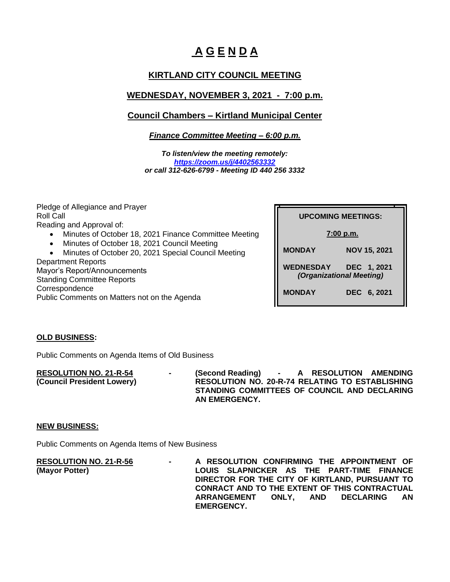# **A G E N D A**

# **KIRTLAND CITY COUNCIL MEETING**

# **WEDNESDAY, NOVEMBER 3, 2021 - 7:00 p.m.**

## **Council Chambers – Kirtland Municipal Center**

*Finance Committee Meeting – 6:00 p.m.*

*To listen/view the meeting remotely: <https://zoom.us/j/4402563332> or call 312-626-6799 - Meeting ID 440 256 3332*

Pledge of Allegiance and Prayer Roll Call Reading and Approval of:

- Minutes of October 18, 2021 Finance Committee Meeting
- Minutes of October 18, 2021 Council Meeting

• Minutes of October 20, 2021 Special Council Meeting Department Reports

Mayor's Report/Announcements Standing Committee Reports Correspondence Public Comments on Matters not on the Agenda **UPCOMING MEETINGS: UPCOMING MEETINGS:**

 **7:00 p.m.**

**MONDAY NOV 15, 2021**

**WEDNESDAY DEC 1, 2021** *(Organizational Meeting)*

**MONDAY DEC 6, 2021**

### **OLD BUSINESS:**

Public Comments on Agenda Items of Old Business

**RESOLUTION NO. 21-R-54 - (Second Reading) - A RESOLUTION AMENDING (Council President Lowery) RESOLUTION NO. 20-R-74 RELATING TO ESTABLISHING STANDING COMMITTEES OF COUNCIL AND DECLARING AN EMERGENCY.**

#### **NEW BUSINESS:**

Public Comments on Agenda Items of New Business

**RESOLUTION NO. 21-R-56 - A RESOLUTION CONFIRMING THE APPOINTMENT OF (Mayor Potter) LOUIS SLAPNICKER AS THE PART-TIME FINANCE DIRECTOR FOR THE CITY OF KIRTLAND, PURSUANT TO CONRACT AND TO THE EXTENT OF THIS CONTRACTUAL ARRANGEMENT ONLY, AND DECLARING AN EMERGENCY.**